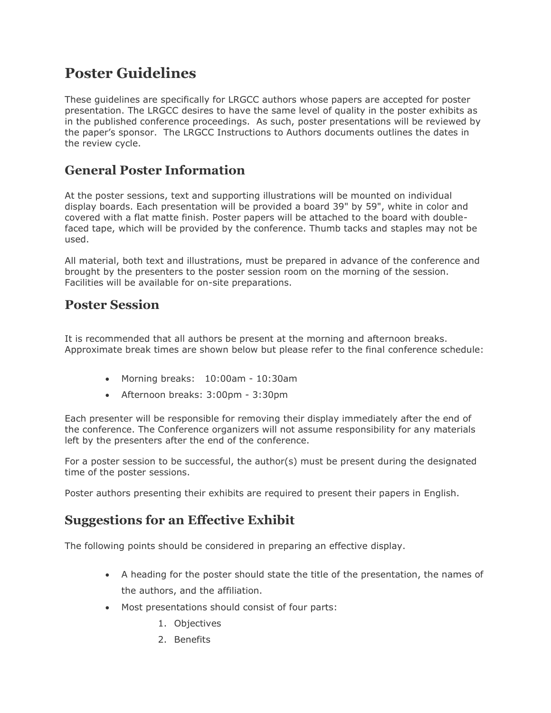## **Poster Guidelines**

These guidelines are specifically for LRGCC authors whose papers are accepted for poster presentation. The LRGCC desires to have the same level of quality in the poster exhibits as in the published conference proceedings. As such, poster presentations will be reviewed by the paper's sponsor. The LRGCC Instructions to Authors documents outlines the dates in the review cycle.

#### **General Poster Information**

At the poster sessions, text and supporting illustrations will be mounted on individual display boards. Each presentation will be provided a board 39" by 59", white in color and covered with a flat matte finish. Poster papers will be attached to the board with doublefaced tape, which will be provided by the conference. Thumb tacks and staples may not be used.

All material, both text and illustrations, must be prepared in advance of the conference and brought by the presenters to the poster session room on the morning of the session. Facilities will be available for on-site preparations.

#### **Poster Session**

It is recommended that all authors be present at the morning and afternoon breaks. Approximate break times are shown below but please refer to the final conference schedule:

- Morning breaks: 10:00am 10:30am
- Afternoon breaks: 3:00pm 3:30pm

Each presenter will be responsible for removing their display immediately after the end of the conference. The Conference organizers will not assume responsibility for any materials left by the presenters after the end of the conference.

For a poster session to be successful, the author(s) must be present during the designated time of the poster sessions.

Poster authors presenting their exhibits are required to present their papers in English.

#### **Suggestions for an Effective Exhibit**

The following points should be considered in preparing an effective display.

- A heading for the poster should state the title of the presentation, the names of the authors, and the affiliation.
- Most presentations should consist of four parts:
	- 1. Objectives
	- 2. Benefits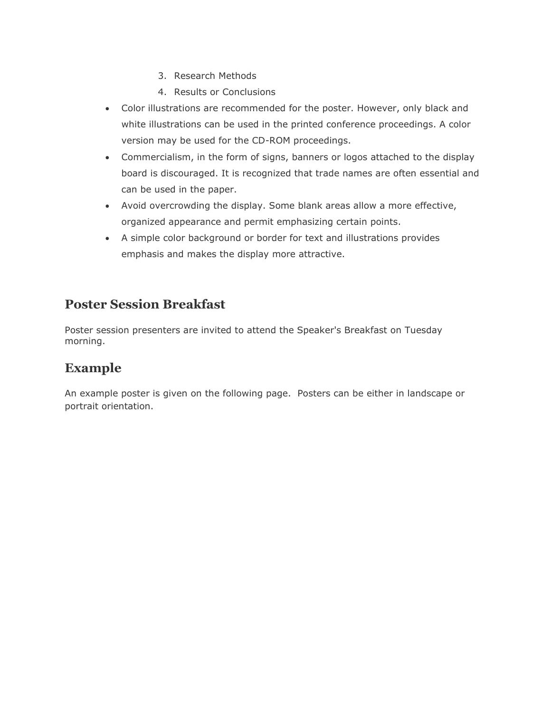- 3. Research Methods
- 4. Results or Conclusions
- Color illustrations are recommended for the poster. However, only black and white illustrations can be used in the printed conference proceedings. A color version may be used for the CD-ROM proceedings.
- Commercialism, in the form of signs, banners or logos attached to the display board is discouraged. It is recognized that trade names are often essential and can be used in the paper.
- Avoid overcrowding the display. Some blank areas allow a more effective, organized appearance and permit emphasizing certain points.
- A simple color background or border for text and illustrations provides emphasis and makes the display more attractive.

#### **Poster Session Breakfast**

Poster session presenters are invited to attend the Speaker's Breakfast on Tuesday morning.

### **Example**

An example poster is given on the following page. Posters can be either in landscape or portrait orientation.